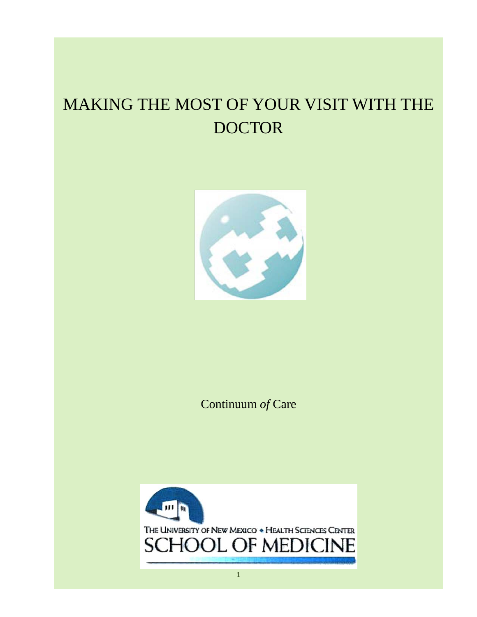# MAKING THE MOST OF YOUR VISIT WITH THE DOCTOR



Continuum *of* Care

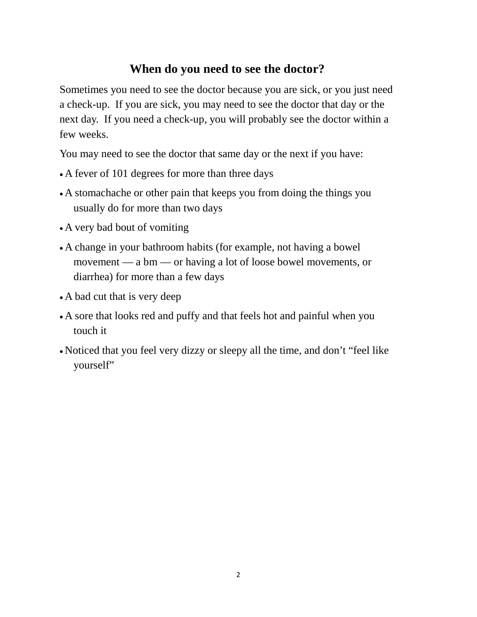## **When do you need to see the doctor?**

Sometimes you need to see the doctor because you are sick, or you just need a check-up. If you are sick, you may need to see the doctor that day or the next day. If you need a check-up, you will probably see the doctor within a few weeks.

You may need to see the doctor that same day or the next if you have:

- A fever of 101 degrees for more than three days
- A stomachache or other pain that keeps you from doing the things you usually do for more than two days
- A very bad bout of vomiting
- A change in your bathroom habits (for example, not having a bowel movement — a bm — or having a lot of loose bowel movements, or diarrhea) for more than a few days
- A bad cut that is very deep
- A sore that looks red and puffy and that feels hot and painful when you touch it
- Noticed that you feel very dizzy or sleepy all the time, and don't "feel like yourself"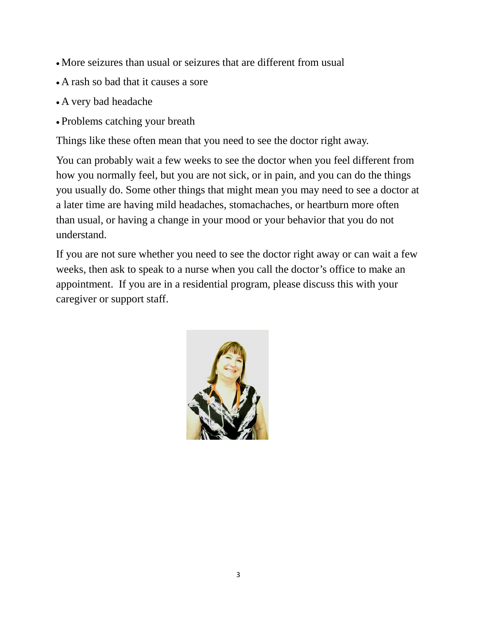- More seizures than usual or seizures that are different from usual
- A rash so bad that it causes a sore
- A very bad headache
- Problems catching your breath

Things like these often mean that you need to see the doctor right away.

You can probably wait a few weeks to see the doctor when you feel different from how you normally feel, but you are not sick, or in pain, and you can do the things you usually do. Some other things that might mean you may need to see a doctor at a later time are having mild headaches, stomachaches, or heartburn more often than usual, or having a change in your mood or your behavior that you do not understand.

If you are not sure whether you need to see the doctor right away or can wait a few weeks, then ask to speak to a nurse when you call the doctor's office to make an appointment. If you are in a residential program, please discuss this with your caregiver or support staff.

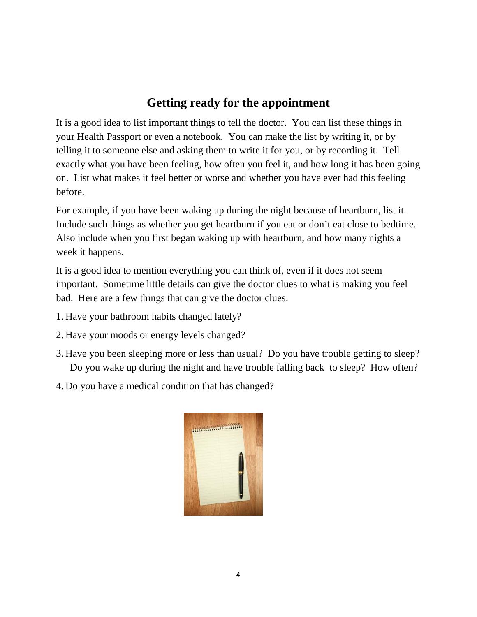## **Getting ready for the appointment**

It is a good idea to list important things to tell the doctor. You can list these things in your Health Passport or even a notebook. You can make the list by writing it, or by telling it to someone else and asking them to write it for you, or by recording it. Tell exactly what you have been feeling, how often you feel it, and how long it has been going on. List what makes it feel better or worse and whether you have ever had this feeling before.

For example, if you have been waking up during the night because of heartburn, list it. Include such things as whether you get heartburn if you eat or don't eat close to bedtime. Also include when you first began waking up with heartburn, and how many nights a week it happens.

It is a good idea to mention everything you can think of, even if it does not seem important. Sometime little details can give the doctor clues to what is making you feel bad. Here are a few things that can give the doctor clues:

- 1. Have your bathroom habits changed lately?
- 2. Have your moods or energy levels changed?
- 3. Have you been sleeping more or less than usual? Do you have trouble getting to sleep? Do you wake up during the night and have trouble falling back to sleep? How often?
- 4. Do you have a medical condition that has changed?

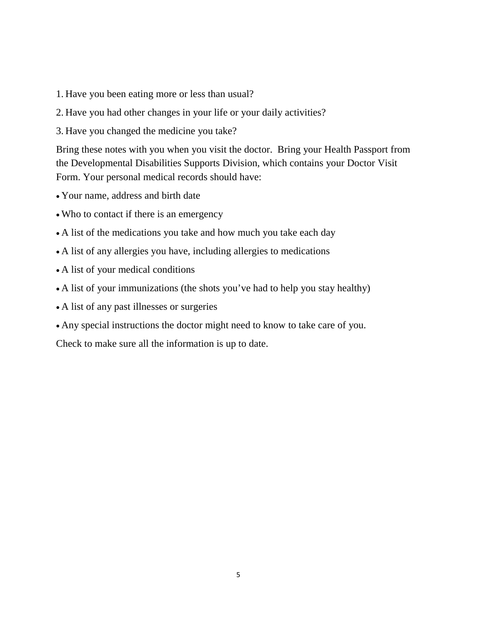- 1. Have you been eating more or less than usual?
- 2. Have you had other changes in your life or your daily activities?
- 3. Have you changed the medicine you take?

Bring these notes with you when you visit the doctor. Bring your Health Passport from the Developmental Disabilities Supports Division, which contains your Doctor Visit Form. Your personal medical records should have:

- Your name, address and birth date
- Who to contact if there is an emergency
- A list of the medications you take and how much you take each day
- A list of any allergies you have, including allergies to medications
- A list of your medical conditions
- A list of your immunizations (the shots you've had to help you stay healthy)
- A list of any past illnesses or surgeries
- Any special instructions the doctor might need to know to take care of you.

Check to make sure all the information is up to date.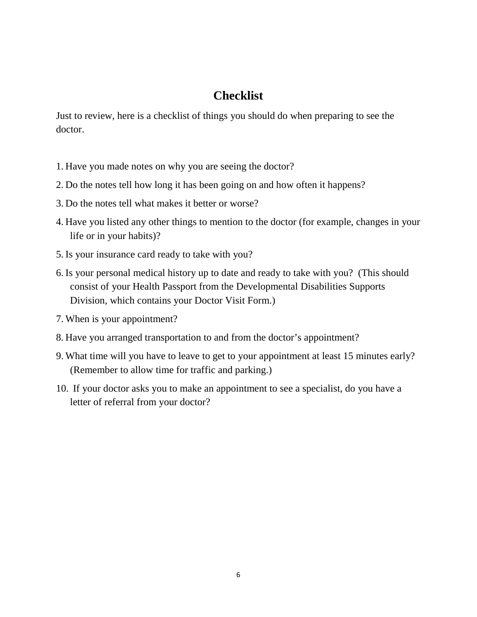## **Checklist**

Just to review, here is a checklist of things you should do when preparing to see the doctor.

- 1. Have you made notes on why you are seeing the doctor?
- 2. Do the notes tell how long it has been going on and how often it happens?
- 3. Do the notes tell what makes it better or worse?
- 4. Have you listed any other things to mention to the doctor (for example, changes in your life or in your habits)?
- 5. Is your insurance card ready to take with you?
- 6. Is your personal medical history up to date and ready to take with you? (This should consist of your Health Passport from the Developmental Disabilities Supports Division, which contains your Doctor Visit Form.)
- 7. When is your appointment?
- 8. Have you arranged transportation to and from the doctor's appointment?
- 9. What time will you have to leave to get to your appointment at least 15 minutes early? (Remember to allow time for traffic and parking.)
- 10. If your doctor asks you to make an appointment to see a specialist, do you have a letter of referral from your doctor?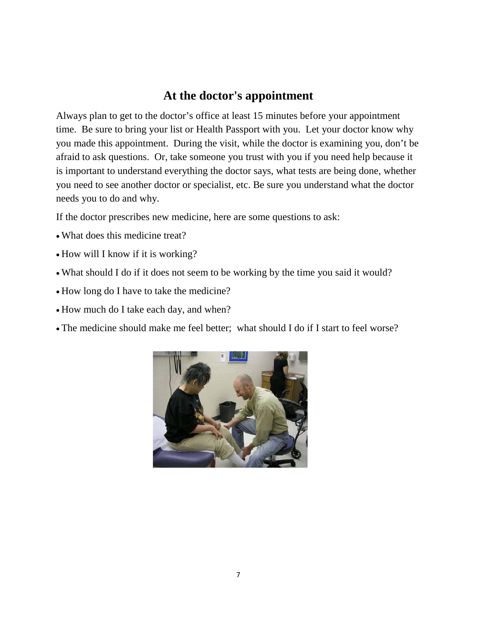#### **At the doctor's appointment**

Always plan to get to the doctor's office at least 15 minutes before your appointment time. Be sure to bring your list or Health Passport with you. Let your doctor know why you made this appointment. During the visit, while the doctor is examining you, don't be afraid to ask questions. Or, take someone you trust with you if you need help because it is important to understand everything the doctor says, what tests are being done, whether you need to see another doctor or specialist, etc. Be sure you understand what the doctor needs you to do and why.

If the doctor prescribes new medicine, here are some questions to ask:

- What does this medicine treat?
- How will I know if it is working?
- What should I do if it does not seem to be working by the time you said it would?
- How long do I have to take the medicine?
- How much do I take each day, and when?
- The medicine should make me feel better; what should I do if I start to feel worse?

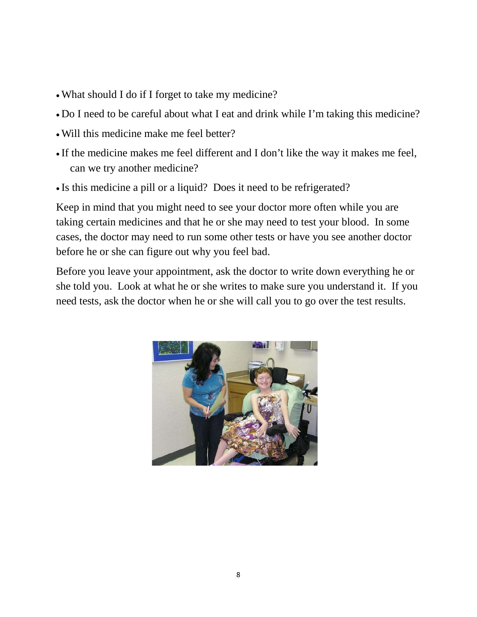- What should I do if I forget to take my medicine?
- Do I need to be careful about what I eat and drink while I'm taking this medicine?
- Will this medicine make me feel better?
- If the medicine makes me feel different and I don't like the way it makes me feel, can we try another medicine?
- Is this medicine a pill or a liquid? Does it need to be refrigerated?

Keep in mind that you might need to see your doctor more often while you are taking certain medicines and that he or she may need to test your blood. In some cases, the doctor may need to run some other tests or have you see another doctor before he or she can figure out why you feel bad.

Before you leave your appointment, ask the doctor to write down everything he or she told you. Look at what he or she writes to make sure you understand it. If you need tests, ask the doctor when he or she will call you to go over the test results.

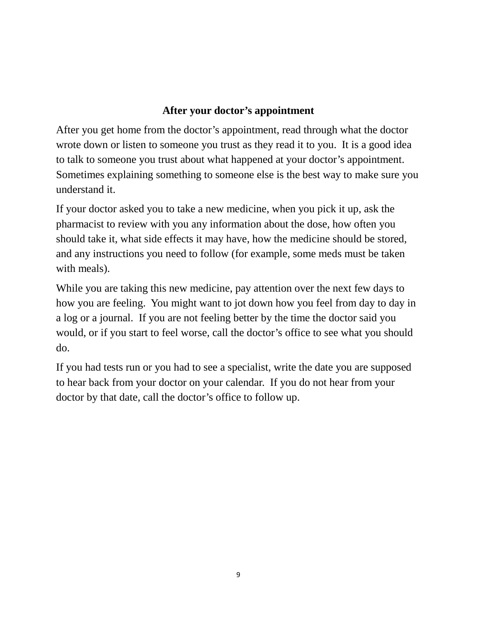#### **After your doctor's appointment**

After you get home from the doctor's appointment, read through what the doctor wrote down or listen to someone you trust as they read it to you. It is a good idea to talk to someone you trust about what happened at your doctor's appointment. Sometimes explaining something to someone else is the best way to make sure you understand it.

If your doctor asked you to take a new medicine, when you pick it up, ask the pharmacist to review with you any information about the dose, how often you should take it, what side effects it may have, how the medicine should be stored, and any instructions you need to follow (for example, some meds must be taken with meals).

While you are taking this new medicine, pay attention over the next few days to how you are feeling. You might want to jot down how you feel from day to day in a log or a journal. If you are not feeling better by the time the doctor said you would, or if you start to feel worse, call the doctor's office to see what you should do.

If you had tests run or you had to see a specialist, write the date you are supposed to hear back from your doctor on your calendar. If you do not hear from your doctor by that date, call the doctor's office to follow up.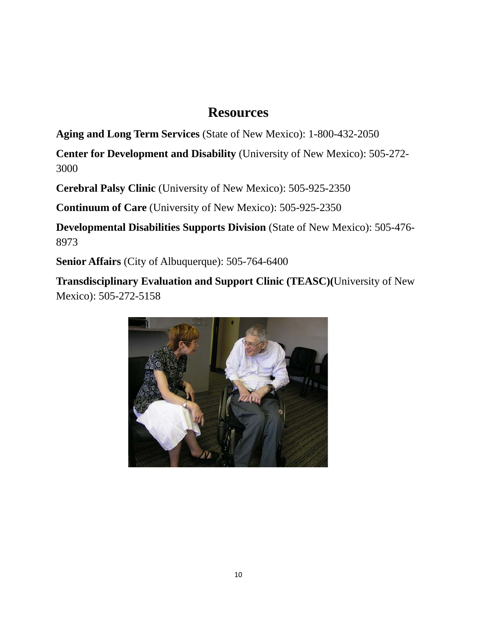# **Resources**

**Aging and Long Term Services** (State of New Mexico): 1-800-432-2050

**Center for Development and Disability** (University of New Mexico): 505-272- 3000

**Cerebral Palsy Clinic** (University of New Mexico): 505-925-2350

**Continuum of Care** (University of New Mexico): 505-925-2350

**Developmental Disabilities Supports Division** (State of New Mexico): 505-476- 8973

**Senior Affairs** (City of Albuquerque): 505-764-6400

**Transdisciplinary Evaluation and Support Clinic (TEASC)(**University of New Mexico): 505-272-5158